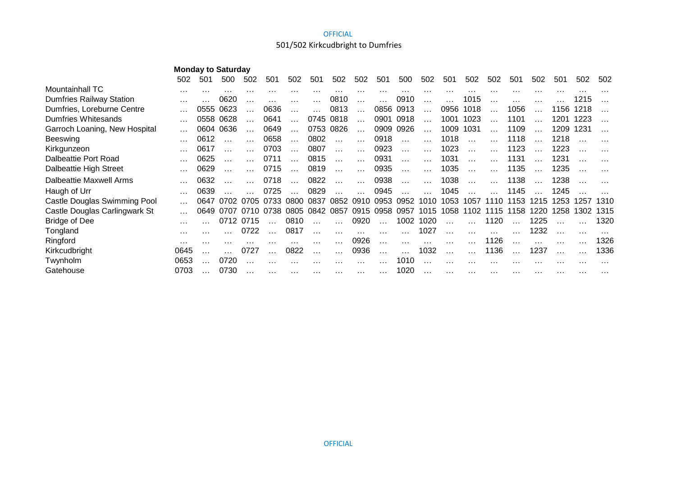# 501/502 Kirkcudbright to Dumfries

|                                 | 502      | 501      | 500       | 502      | 501      | 502                  | 501                  | 502             | 502       | 501       | 500       | 502       | 501       | 502      | 502      | 501       | 502      | 501      | 502      | 502      |
|---------------------------------|----------|----------|-----------|----------|----------|----------------------|----------------------|-----------------|-----------|-----------|-----------|-----------|-----------|----------|----------|-----------|----------|----------|----------|----------|
| Mountainhall TC                 | $\cdots$ |          |           |          |          |                      |                      |                 | .         | $\cdots$  |           |           |           |          |          |           |          |          |          |          |
| <b>Dumfries Railway Station</b> |          |          | 0620      |          |          |                      | $\cdots$             | 0810            | $\cdots$  | $\cdots$  | 0910      | .         | $\cdots$  | 1015     | $\cdots$ | $\cdots$  |          |          | 1215     |          |
| Dumfries, Loreburne Centre      |          | 0555     | 0623      |          | 0636     |                      | $\cdots$             | 0813            | $\cdots$  |           | 0856 0913 | $\ddotsc$ | 0956      | 1018     |          | 1056      |          | 1156     | 1218     |          |
| Dumfries Whitesands             |          | 0558     | 0628      |          | 0641     |                      |                      | 0745 0818       | $\cdots$  |           | 0901 0918 | $\ddotsc$ | 1001      | 1023     |          | 1101      |          | 1201     | 1223     |          |
| Garroch Loaning, New Hospital   |          | 0604     | 0636      |          | 0649     | $\cdots$             |                      | 0753 0826       | $\ddotsc$ |           | 0909 0926 | $\ddotsc$ | 1009      | 1031     | $\cdots$ | 1109      | $\cdots$ | 1209     | 1231     |          |
| Beeswing                        |          | 0612     |           |          | 0658     | $\cdots$             | 0802                 | $\sim$ . $\sim$ | $\cdots$  | 0918      | $\ddotsc$ | $\ddotsc$ | 1018      | $\ldots$ |          | 1118      |          | 1218     |          |          |
| Kirkgunzeon                     |          | 0617     |           |          | 0703     | $\sim$ $\sim$ $\sim$ | 0807                 | $\sim 100$      | $\cdots$  | 0923      | $\cdots$  | $\cdots$  | 1023      | $\cdots$ |          | 1123      |          | 1223     |          |          |
| Dalbeattie Port Road            |          | 0625     | $\cdots$  |          | 0711     | $\cdots$             | 0815                 | $\ldots$        | $\cdots$  | 0931      | $\ldots$  | $\cdots$  | 1031      | $\ldots$ | $\cdots$ | 1131      |          | 1231     |          |          |
| Dalbeattie High Street          |          | 0629     | $\cdots$  |          | 0715     | $\ldots$             | 0819                 | $\ldots$        | $\ldots$  | 0935      | $\ldots$  | $\ldots$  | 1035      | $\ldots$ | $\cdots$ | 1135      |          | 1235     |          |          |
| Dalbeattie Maxwell Arms         |          | 0632     |           |          | 0718     | $\cdots$             | 0822                 | $\ldots$        | .         | 0938      | $\ddotsc$ | $\cdots$  | 1038      | $\ldots$ |          | 1138      |          | 1238     |          |          |
| Haugh of Urr                    |          | 0639     |           |          | 0725     |                      | 0829                 |                 |           | 0945      |           |           | 1045      |          |          | 1145      |          | 1245     |          |          |
| Castle Douglas Swimming Pool    |          | 0647     | 0702      | 0705     |          | 0733 0800            | 0837                 | 0852            | 0910      | 0953      | 0952      | 1010      | 1053      | 1057     |          | 1110 1153 | 1215     | 1253     | 1257     | 1310     |
| Castle Douglas Carlingwark St   |          |          | 0649 0707 | 0710     | 0738     | 0805                 | 0842                 | 0857            | 0915      | 0958      | 0957      |           | 1015 1058 | 1102     | 1115     | 1158      | 1220     | 1258     | 1302     | 1315     |
| <b>Bridge of Dee</b>            | $\cdots$ |          | 0712      | 0715     |          | 0810                 |                      |                 | 0920      | $\ldots$  | 1002      | 1020      | $\cdots$  |          | 1120     |           | 1225     |          |          | 1320     |
| Tongland                        | $\cdots$ |          |           | 0722     |          | 0817                 | $\cdots$             | $\cdots$        | $\cdots$  | $\cdots$  | $\cdots$  | 1027      | .         |          |          |           | 1232     |          |          |          |
| Ringford                        |          | $\cdots$ |           |          |          |                      |                      |                 | 0926      | $\cdots$  | $\cdots$  | $\cdots$  | $\cdots$  |          | 1126     |           |          |          |          | 1326     |
| Kirkcudbright                   | 0645     | $\cdots$ |           | 0727     |          | 0822                 | $\sim$ $\sim$ $\sim$ | $\cdots$        | 0936      | $\ddotsc$ | $\cdots$  | 1032      | $\ddotsc$ |          | 1136     |           | 1237     |          |          | 1336     |
| Twynholm                        | 0653     | $\cdots$ | 0720      |          |          |                      | $\cdots$             | $\cdots$        | $\cdots$  | .         | 1010      | $\cdots$  | .         |          |          |           |          | $\cdots$ | $\cdots$ | $\cdots$ |
| Gatehouse                       | 0703     |          | 0730      | $\cdots$ | $\cdots$ | $\cdots$             | .                    | $\cdots$        | $\cdots$  | $\cdots$  | 1020      | $\cdots$  | $\cdots$  | $\cdots$ | .        | $\cdots$  | $\cdots$ | $\cdots$ | $\cdots$ | $\cdots$ |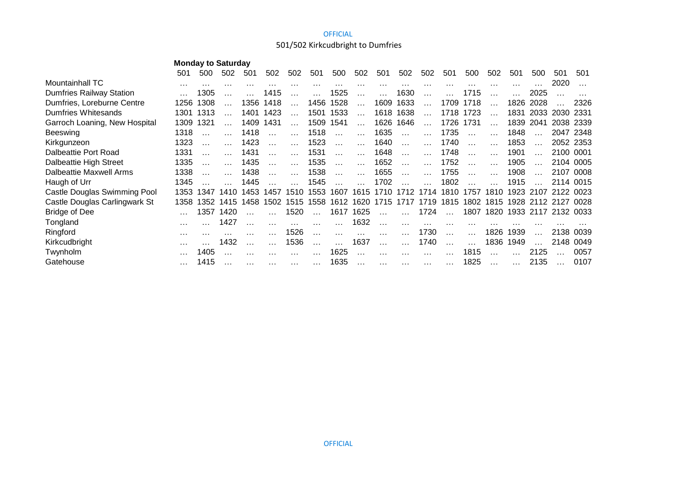# 501/502 Kirkcudbright to Dumfries

|                                 | 501  | 500  | 502   | 501  | 502  | 502      | 501  | 500             | 502      | 501      | 502       | 502      | 501       | 500      | 502       | 501  | 500                      | 501       | 501       |
|---------------------------------|------|------|-------|------|------|----------|------|-----------------|----------|----------|-----------|----------|-----------|----------|-----------|------|--------------------------|-----------|-----------|
| Mountainhall TC                 |      |      |       |      |      |          |      |                 |          |          |           |          |           |          | .         | .    |                          | 2020      |           |
| <b>Dumfries Railway Station</b> |      | 1305 |       |      | 1415 |          |      | 1525            | $\cdots$ | $\cdots$ | 1630      |          |           | 1715     |           |      | 2025                     |           |           |
| Dumfries, Loreburne Centre      | 1256 | 1308 |       | 1356 | 1418 |          | 1456 | 1528            | $\cdots$ | 1609     | 1633      |          | 1709      | 1718     |           | 1826 | 2028                     |           | 2326      |
| Dumfries Whitesands             | 1301 | 1313 |       | 1401 | 1423 | $\cdots$ |      | 1501 1533       | $\cdots$ |          | 1618 1638 | $\cdots$ | 1718      | 1723     | $\cdots$  | 1831 | 2033 2030                |           | 2331      |
| Garroch Loaning, New Hospital   | 1309 | 1321 |       | 1409 | 1431 | $\cdots$ | 1509 | 1541            | $\cdots$ |          | 1626 1646 | $\cdots$ | 1726 1731 |          | $\cdots$  | 1839 | 2041                     | 2038 2339 |           |
| Beeswing                        | 1318 |      |       | 1418 |      |          | 1518 |                 |          | 1635     |           |          | 1735      |          |           | 1848 |                          |           | 2047 2348 |
| Kirkgunzeon                     | 1323 |      |       | 1423 |      |          | 1523 |                 | $\cdots$ | 1640     |           |          | 1740      |          |           | 1853 |                          | 2052 2353 |           |
| Dalbeattie Port Road            | 1331 |      |       | 1431 |      |          | 1531 | $\sim$          |          | 1648     | $\ldots$  |          | 1748      | $\cdots$ |           | 1901 |                          | 2100      | -0001     |
| Dalbeattie High Street          | 1335 |      |       | 1435 |      |          | 1535 | $\sim$ . $\sim$ |          | 1652     | $\ldots$  |          | 1752      |          |           | 1905 |                          | 2104 0005 |           |
| Dalbeattie Maxwell Arms         | 1338 |      |       | 1438 |      |          | 1538 | $\cdots$        |          | 1655     | $\ldots$  |          | 1755      |          |           | 1908 |                          | 2107      | 0008      |
| Haugh of Urr                    | 1345 |      |       | 1445 |      |          | 1545 |                 |          | 1702     |           |          | 1802      |          |           | 1915 |                          |           | 2114 0015 |
| Castle Douglas Swimming Pool    | 1353 | 1347 | 1410. | 1453 | 1457 | 1510     | 1553 | 1607            | 1615     | 1710     | 1712      | 1714     | 1810      | 1757     | 1810      | 1923 | 2107                     | 2122      | -0023     |
| Castle Douglas Carlingwark St   | 1358 | 1352 | 1415  | 1458 | 1502 | 1515     | 1558 | 1612            | 1620     | 1715     | 1717      | 1719     | 1815      | 1802     |           |      | 1815 1928 2112 2127 0028 |           |           |
| <b>Bridge of Dee</b>            |      | 1357 | 1420  |      |      | 1520     |      | 1617            | 1625     |          |           | 1724     |           | 1807     |           |      | 1820 1933 2117 2132 0033 |           |           |
| Tongland                        |      |      | 1427  |      |      | $\cdots$ |      |                 | 1632     | $\cdots$ |           |          |           |          |           |      |                          |           |           |
| Ringford                        |      |      |       |      |      | 1526     |      |                 |          | $\cdots$ |           | 1730     |           | $\ldots$ | 1826      | 1939 |                          | 2138      | 0039      |
| Kirkcudbright                   |      |      | 1432  |      |      | 1536     |      |                 | 1637     | $\cdots$ |           | 1740     | $\cdots$  | .        | 1836      | 1949 |                          | 2148      | 0049      |
| Twynholm                        |      | 1405 |       |      |      |          |      | 1625            |          | $\cdots$ |           |          |           | 1815     |           |      | 2125                     |           | 0057      |
| Gatehouse                       |      | 1415 |       |      |      | $\cdots$ |      | 1635            | $\cdots$ | $\cdots$ | $\cdots$  | $\cdots$ | $\cdots$  | 1825     | $\ddotsc$ |      | 2135                     |           | 0107      |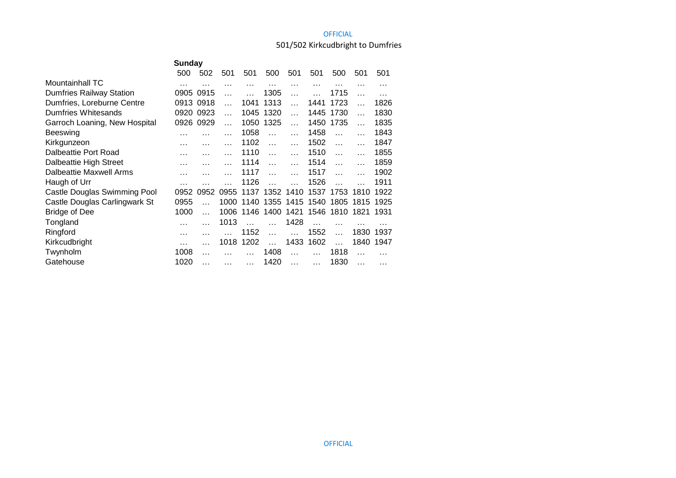# 501/502 Kirkcudbright to Dumfries

|                                 | Sunday |           |          |          |           |           |          |           |           |      |  |  |  |
|---------------------------------|--------|-----------|----------|----------|-----------|-----------|----------|-----------|-----------|------|--|--|--|
|                                 | 500    | 502       | 501      | 501      | 500       | 501       | 501      | 500       | 501       | 501  |  |  |  |
| <b>Mountainhall TC</b>          | .      | .         |          | $\cdots$ | .         | $\cdots$  | .        |           | .         | .    |  |  |  |
| <b>Dumfries Railway Station</b> | 0905   | 0915      |          |          | 1305      |           |          | 1715      |           |      |  |  |  |
| Dumfries, Loreburne Centre      | 0913   | 0918      |          | 1041     | 1313      | $\ddotsc$ | 1441     | 1723      | $\ddotsc$ | 1826 |  |  |  |
| Dumfries Whitesands             | 0920   | 0923      | $\cdots$ | 1045     | 1320      | $\cdots$  | 1445     | 1730      | $\ddotsc$ | 1830 |  |  |  |
| Garroch Loaning, New Hospital   | 0926   | 0929      |          | 1050     | 1325      | $\ddotsc$ | 1450     | 1735      | $\ddotsc$ | 1835 |  |  |  |
| Beeswing                        |        |           |          | 1058     |           |           | 1458     |           |           | 1843 |  |  |  |
| Kirkgunzeon                     | .      | .         |          | 1102     | $\ddotsc$ |           | 1502     | $\ddotsc$ |           | 1847 |  |  |  |
| Dalbeattie Port Road            |        | .         |          | 1110     | $\ddotsc$ | $\cdots$  | 1510     | $\ddotsc$ | $\ddotsc$ | 1855 |  |  |  |
| Dalbeattie High Street          |        | .         |          | 1114     | $\cdots$  |           | 1514     | $\ddotsc$ |           | 1859 |  |  |  |
| Dalbeattie Maxwell Arms         |        | .         |          | 1117     | $\ddotsc$ |           | 1517     | $\ddotsc$ |           | 1902 |  |  |  |
| Haugh of Urr                    | .      |           |          | 1126     |           |           | 1526     |           |           | 1911 |  |  |  |
| Castle Douglas Swimming Pool    | 0952   | 0952      | 0955     | 1137     | 1352 1410 |           | 1537     | 1753 1810 |           | 1922 |  |  |  |
| Castle Douglas Carlingwark St   | 0955   |           | 1000     | 1140     | 1355      | 1415      | 1540     | 1805      | 1815      | 1925 |  |  |  |
| <b>Bridge of Dee</b>            | 1000   | $\ddotsc$ | 1006     |          | 1146 1400 | 1421      | 1546     | 1810      | 1821      | 1931 |  |  |  |
| Tongland                        | .      |           | 1013     |          |           | 1428      | $\cdots$ | .         |           |      |  |  |  |
| Ringford                        | .      |           |          | 1152     |           |           | 1552     | $\ddotsc$ | 1830      | 1937 |  |  |  |
| Kirkcudbright                   | .      |           | 1018     | 1202     | $\sim$    | 1433      | 1602     | $\ddotsc$ | 1840      | 1947 |  |  |  |
| Twynholm                        | 1008   | .         |          |          | 1408      |           |          | 1818      |           |      |  |  |  |
| Gatehouse                       | 1020   | .         |          | $\cdots$ | 1420      |           |          | 1830      |           | .    |  |  |  |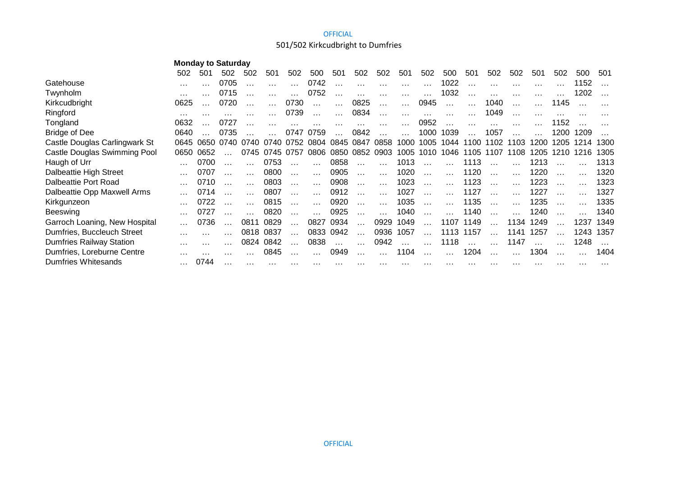# 501/502 Kirkcudbright to Dumfries

|                                 | 502  | 501            | 502  | 502       | 501            | 502       | 500                  | 501       | 502            | 502       | 501                  | 502       | 500           | 501       | 502            | 502      | 501      | 502  | 500  | 501      |
|---------------------------------|------|----------------|------|-----------|----------------|-----------|----------------------|-----------|----------------|-----------|----------------------|-----------|---------------|-----------|----------------|----------|----------|------|------|----------|
| Gatehouse                       |      |                | 0705 |           |                | $\cdots$  | 0742                 | $\cdots$  | $\cdots$       | $\cdots$  | $\cdots$             | $\cdots$  | 1022          | $\cdots$  | $\ldots$       | $\cdots$ | $\cdots$ |      | 1152 |          |
| Twynholm                        |      |                | 0715 |           |                |           | 0752                 | $\ddotsc$ | $\cdots$       | $\cdots$  | $\cdots$             | $\cdots$  | 1032          | $\cdots$  | $\cdots$       | $\cdots$ |          |      | 1202 |          |
| Kirkcudbright                   | 0625 |                | 0720 |           |                | 0730      | $\cdots$             | $\cdots$  | 0825           | $\cdots$  | $\cdots$             | 0945      | $\sim$ $\sim$ | $\cdots$  | 1040           | $\ldots$ |          | 1145 |      |          |
| Ringford                        |      | $\cdots$       |      |           |                | 0739      |                      | $\cdots$  | 0834           | $\cdots$  | $\cdots$             | $\cdots$  | $\cdots$      |           | 1049           |          |          |      |      |          |
| Tongland                        | 0632 |                | 0727 |           |                |           |                      |           |                | $\ddotsc$ |                      | 0952      | $\cdots$      | $\cdots$  |                |          |          | 1152 |      |          |
| <b>Bridge of Dee</b>            | 0640 |                | 0735 |           |                | 0747 0759 |                      |           | 0842           |           |                      | 1000      | 1039          |           | 1057           |          |          | 1200 | 1209 |          |
| Castle Douglas Carlingwark St   |      | 0645 0650 0740 |      |           | 0740 0740 0752 |           |                      |           | 0804 0845 0847 | 0858      |                      | 1000 1005 | 1044          |           | 1100 1102 1103 |          | 1200     | 1205 | 1214 | 1300     |
| Castle Douglas Swimming Pool    | 0650 | 0652           |      |           | 0745 0745 0757 |           | 0806                 |           | 0850 0852 0903 |           |                      | 1005 1010 | 1046          |           | 1105 1107      | 1108     | 1205     | 1210 | 1216 | 1305     |
| Haugh of Urr                    |      | 0700           |      |           | 0753           | $\cdots$  | $\cdots$             | 0858      | $\cdots$       | $\cdots$  | 1013                 | $\ddotsc$ |               | 1113      |                |          | 1213     |      |      | 1313     |
| Dalbeattie High Street          |      | 0707           |      |           | 0800           | $\cdots$  | $\cdots$             | 0905      | $\cdots$       | $\cdots$  | 1020                 | $\ddotsc$ |               | 1120      | $\cdot$        |          | 1220     |      |      | 1320     |
| Dalbeattie Port Road            |      | 0710           |      |           | 0803           | $\cdots$  | $\sim$ $\sim$ $\sim$ | 0908      | $\cdots$       | $\ddotsc$ | 1023                 | $\ddotsc$ | $\mathbf{1}$  | 1123      |                |          | 1223     |      |      | 1323     |
| Dalbeattie Opp Maxwell Arms     |      | 0714           |      |           | 0807           | .         | $\cdots$             | 0912      | $\cdots$       | $\ddotsc$ | 1027                 | $\ddotsc$ |               | 1127      |                |          | 1227     |      |      | 1327     |
| Kirkgunzeon                     |      | 0722           |      |           | 0815           | $\cdots$  | $\cdots$             | 0920      | $\cdots$       | $\ldots$  | 1035                 | $\ldots$  |               | 1135      | $\ldots$       |          | 1235     |      |      | 1335     |
| <b>Beeswing</b>                 |      | 0727           |      |           | 0820           |           |                      | 0925      | $\cdots$       |           | 1040                 |           |               | 1140      |                |          | 1240     |      |      | 1340     |
| Garroch Loaning, New Hospital   |      | 0736           |      | 0811      | 0829           |           | 0827                 | 0934      | $\ddotsc$      | 0929      | 1049                 | $\ldots$  |               | 1107 1149 |                | 1134     | 1249     |      | 1237 | 1349     |
| Dumfries, Buccleuch Street      |      |                |      | 0818 0837 |                | $\cdots$  |                      | 0833 0942 | $\ddotsc$      | 0936      | 1057                 | $\ddotsc$ | 1113 1157     |           | $\cdots$       | 1141     | 1257     |      | 1243 | 1357     |
| <b>Dumfries Railway Station</b> |      |                |      | 0824      | 0842           | $\cdots$  | 0838                 | $\ddotsc$ | $\cdots$       | 0942      | $\sim$ $\sim$ $\sim$ | $\ddotsc$ | 1118          | $\ldots$  |                | 1147     |          |      | 1248 |          |
| Dumfries, Loreburne Centre      |      |                |      |           | 0845           |           |                      | 0949      |                |           | 1104                 |           |               | 1204      |                |          | 1304     |      |      | 1404     |
| <b>Dumfries Whitesands</b>      |      | 0744           |      |           |                |           |                      |           |                | .         |                      |           |               |           |                |          |          |      | .    | $\cdots$ |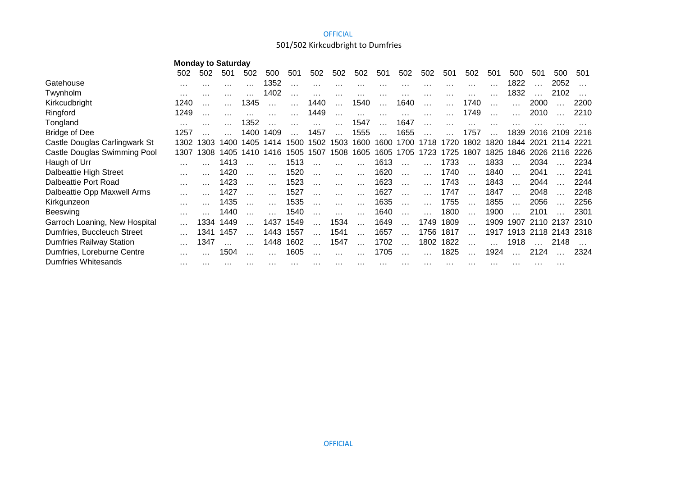# 501/502 Kirkcudbright to Dumfries

|                                 | 502  | 502      | 501  | 502       | 500  | 501  | 502      | 502       | 502       | 501       | 502       | 502       | 501       | 502       | 501       | 500      | 501  | 500            | 501  |
|---------------------------------|------|----------|------|-----------|------|------|----------|-----------|-----------|-----------|-----------|-----------|-----------|-----------|-----------|----------|------|----------------|------|
| Gatehouse                       |      |          |      |           | 1352 | .    | $\cdots$ | .         | .         | $\cdots$  | $\cdots$  |           | $\cdots$  |           |           | 1822     |      | 2052           |      |
| Twynholm                        | .    | $\cdots$ |      |           | 1402 | .    | .        | .         | $\cdots$  | $\cdots$  | .         | .         | $\cdots$  |           |           | 1832     |      | 2102           |      |
| Kirkcudbright                   | 1240 |          |      | 1345      |      |      | 1440     | $\ddotsc$ | 1540      | $\ddotsc$ | 1640      | $\ddotsc$ | $\ddotsc$ | 1740      | $\ddotsc$ | .        | 2000 |                | 2200 |
| Ringford                        | 1249 |          |      |           |      |      | 1449     | .         | $\cdots$  | $\cdots$  | $\cdots$  | .         |           | 1749      |           |          | 2010 |                | 2210 |
| Tongland                        |      |          |      | 1352      |      |      |          |           | 1547      |           | 1647      |           |           |           |           |          |      |                |      |
| <b>Bridge of Dee</b>            | 1257 |          |      | 1400      | 1409 |      | 1457     | $\ddotsc$ | 1555      | $\ddotsc$ | 1655      |           |           | 1757      | $\ddotsc$ | 1839     |      | 2016 2109      | 2216 |
| Castle Douglas Carlingwark St   | 1302 | 1303     | 1400 | 1405      | 1414 | 1500 |          | 1502 1503 | 1600      | 1600      | 1700      | 1718      | 1720      | 1802      | 1820      | 1844     | 2021 | 2114           | 2221 |
| Castle Douglas Swimming Pool    | 1307 | 1308     |      | 1405 1410 | 1416 | 1505 | 1507     | 1508      | 1605      |           | 1605 1705 | 1723      | 1725      | 1807      | 1825      | 1846     |      | 2026 2116      | 2226 |
| Haugh of Urr                    |      |          | 1413 |           |      | 1513 | $\cdots$ |           |           | 1613      | $\ddotsc$ |           | 1733      | $\ddotsc$ | 1833      |          | 2034 |                | 2234 |
| Dalbeattie High Street          |      |          | 1420 |           |      | 1520 | .        | .         |           | 1620      | $\ddotsc$ | $\cdots$  | 1740      | $\cdots$  | 1840      | $\cdots$ | 2041 |                | 2241 |
| Dalbeattie Port Road            |      |          | 1423 |           |      | 1523 |          | .         | $\cdots$  | 1623      | $\ddotsc$ | $\cdots$  | 1743      | $\ddotsc$ | 1843      |          | 2044 |                | 2244 |
| Dalbeattie Opp Maxwell Arms     |      |          | 1427 |           |      | 1527 | $\cdots$ | .         | $\cdots$  | 1627      | $\ddotsc$ | $\cdots$  | 1747      | $\cdots$  | 1847      |          | 2048 |                | 2248 |
| Kirkgunzeon                     |      |          | 1435 |           |      | 1535 |          | .         |           | 1635      |           |           | 1755      |           | 1855      |          | 2056 |                | 2256 |
| <b>Beeswing</b>                 |      |          | 1440 |           |      | 1540 |          |           |           | 1640      |           |           | 1800      |           | 1900      |          | 2101 |                | 2301 |
| Garroch Loaning, New Hospital   |      | 1334     | 1449 |           | 1437 | 1549 |          | 1534      | $\ddotsc$ | 1649      | $\ddotsc$ | 1749      | 1809      | $\ddotsc$ | 1909      |          |      | 1907 2110 2137 | 2310 |
| Dumfries, Buccleuch Street      |      | 1341     | 1457 |           | 1443 | 1557 |          | 1541      | $\cdots$  | 1657      | $\ddotsc$ | 1756      | 1817      |           | 1917      | 1913     |      | 2118 2143      | 2318 |
| <b>Dumfries Railway Station</b> |      | 1347     |      |           | 1448 | 1602 | .        | 1547      | $\ddotsc$ | 1702      | $\cdots$  | 1802      | 1822      | $\ddotsc$ |           | 1918     |      | 2148           |      |
| Dumfries, Loreburne Centre      |      |          | 1504 |           |      | 1605 |          |           |           | 1705      |           |           | 1825      |           | 1924      |          | 2124 |                | 2324 |
| Dumfries Whitesands             | .    |          |      |           |      |      |          |           |           |           |           |           |           |           |           |          |      | .              |      |